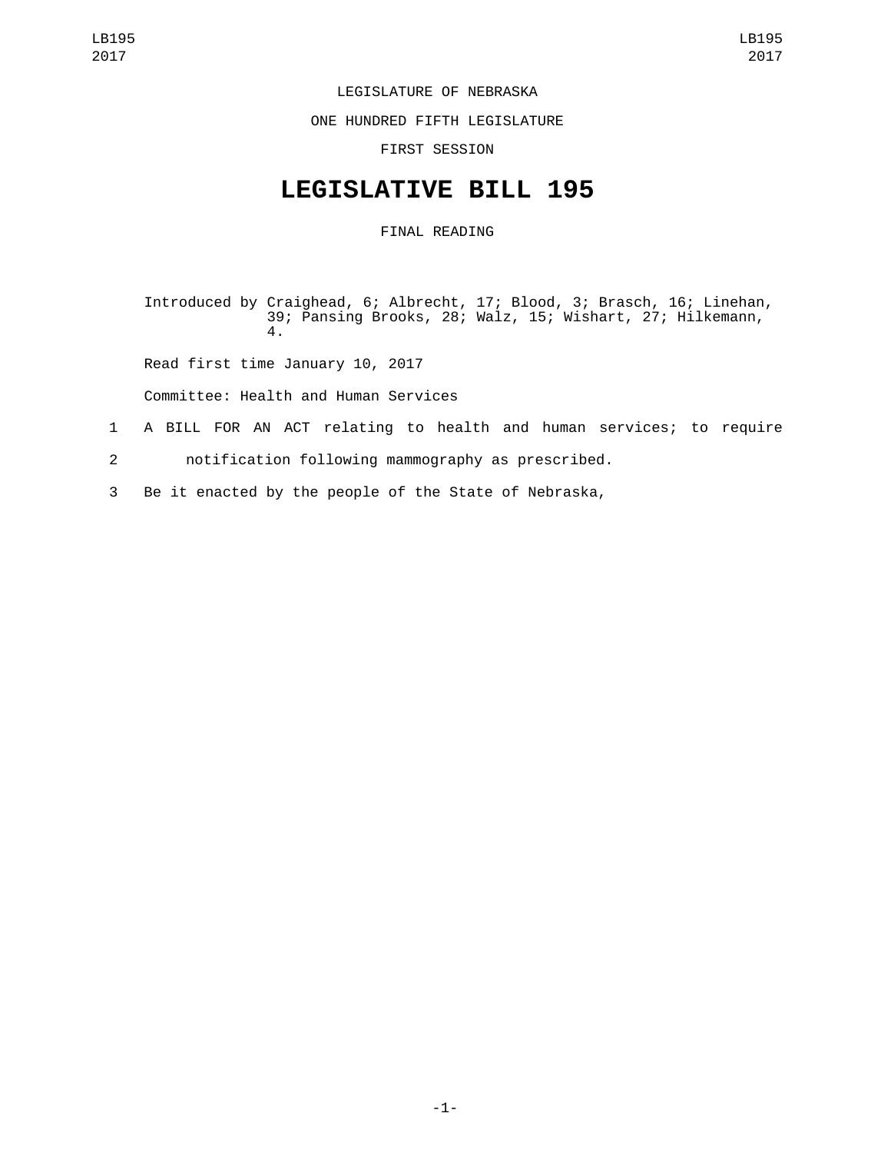## LEGISLATURE OF NEBRASKA

ONE HUNDRED FIFTH LEGISLATURE

FIRST SESSION

## **LEGISLATIVE BILL 195**

## FINAL READING

Introduced by Craighead, 6; Albrecht, 17; Blood, 3; Brasch, 16; Linehan, 39; Pansing Brooks, 28; Walz, 15; Wishart, 27; Hilkemann, 4.

Read first time January 10, 2017

Committee: Health and Human Services

- 1 A BILL FOR AN ACT relating to health and human services; to require
- 2 notification following mammography as prescribed.
- 3 Be it enacted by the people of the State of Nebraska,